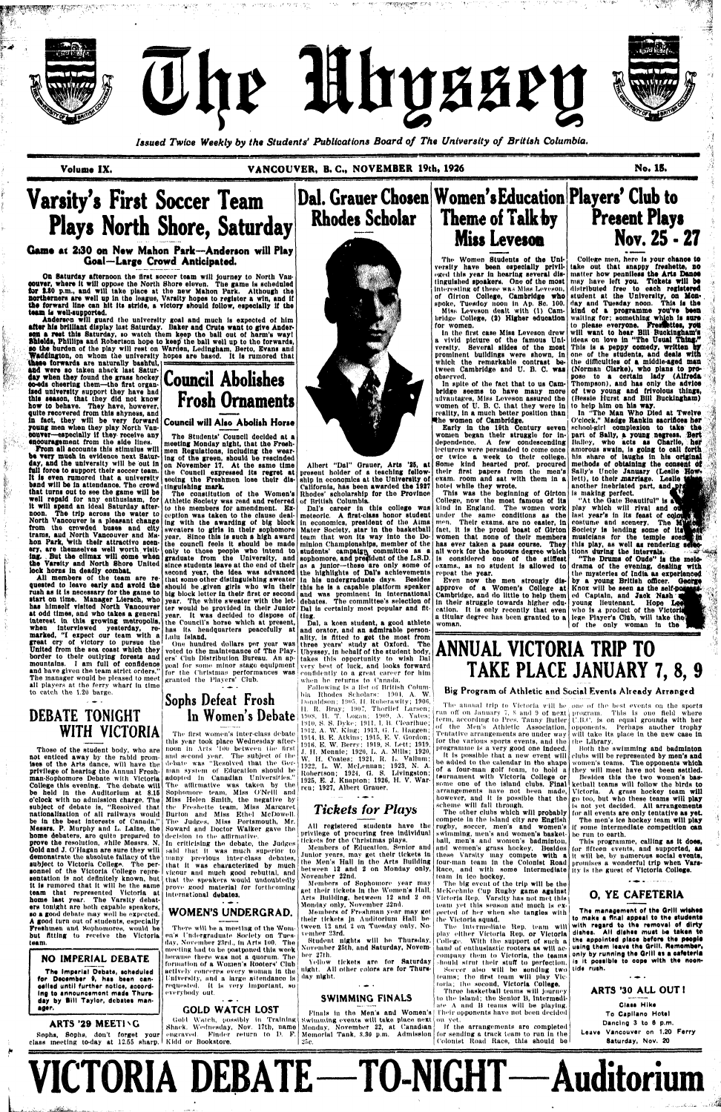**fpf\*5rJ«Jf?S,**

**l|F<sup>r</sup>**







*Issued Twice Weekly by the Students' Publications Board of The University of British Columbia.* 

Volume IX. **VANCOUVER, B. C., NOVEMBER 19th, 1926** 

la **i March (1920) and a late of the street of the second of the second of the second of the street of the second to the second of the second of the second of the second of the second of the second of the second of the sec** 

## **Varsity's First Soccer Team Plays North Shore. Saturday**

#### **Game at 2.30 on New Mahon Park—Anderson will Play Goal—Large Crowd Anticipated.**

**On Saturday afternoon the first soccer team will Journey to North Vancouver, where It will oppose the North Shore eleven. The game Is scheduled for 1.80 p.m., and will take place at the new Mahon Park. Although tho northerners are well up In the league, Varsity hopes to register a win, and if the forward line can hit its stride, a victory should follow, especially if tbe team la well-supported.** 

**encouragement from the side lines. From all accounts this stimulus will be very muoh in evidence next Saturday, and the university will be out in full force to support their soccer team. It Is even rumored that a university band will be in attendance. The crowd**  tinguishing **mark. that turns out to see the game will be well repaid for any enthusiasm, for It will spend an Ideal Saturday afternoon. The trip across the water to North Vancouver Is a pleasant change from the crowded buses and city trams, aud North Vancouver and Mahon Park, with their attractivo scenery, are themselves well worth visiting. But the climax will come when the Varsity and North Shore United**  lock horns in deadly combat.

**Anderson will guard the university goal and much Is expected of him alter his brilliant display last Saturday. Baker and Crute want to give Andersen a rest this Saturday, so watch them keep the ball out ot harm's way! Shields, Phillips and Robertson hope to keep the ball well up to tho forwards, go the burden of the play will rest on Warden, Ledingham, Berto, Evans and Waddington, on whom the university hopes are based. It is rumored that** 

**All members ot the team are requested to leave early and avoid the rush as It is necessary for the game to has himself visited North Vancouver at odd times, and who takes a general**  year. It was decided to dispose of ting. **Interest ln this growing metropolis, when interviewed yesterday, remarked, "I expect our team with a great cry of victory to pursue the great** cry of victory to pursue the! One hundred dollars per year was<br>United from the sea coast which they | voted to the maintenance of The Play**and have given tho team strict orders."**  The manager would be pleased to meet granted the Players' Club. all players at the ferry wharf in time

#### **No. IS.**  *eemsmmnmm.*

 $\cdot$  iV

**Rhodes Scholar** 



**these forwards are naturally bashful, attd were so taken aback last Satur day When they found the grass hockey Council Abolishes oo-eds cheering them—the first organised university support they have had this season, that they did not know how to behave. They have, however, quite recovered from this shyness, and ln fact, they will be very forward young men when they play North Vancouver—especially if they receive any** 

## **DEBATE TONIGHT WITH VICTORIA**

**The Imperial Debate, scheduled for December », has been canoellsd until further notloe, according to announcement made Thursday by Bill Taylor, debates manager.** 

#### ARTS '29 MEETING

the Council's horse which at present, the Councils horse which at present,<br>has its headquarters peacefully at

The first women's inter-class debate this year took place Wednesday after-

to catch the 1.20 barge.

Gold and J. O'Hagan are sure they will said that it was much superior to demonstrate the absolute fallacy of the many previous inter-class debates, sentation is not definitely known, but that the speakers would undoubtedly that it was characterized by much vigour and much good rebuttal, and prove good material for forthcoming

#### $\cdot$   $\bullet$   $\cdot$ GOLD WATCH LOST

Albert "Dal" Orauer, Arts '25, at present holder of a teaching fellowship In economics at the University of California, has been awarded the 1927 hotel while they wrote. Rhodes' scholarship for the Province

Those of the student body, who are not enticed away by the rabid promises of the Arts dance, will have the privilege of hearing the Annual Freshbe in the best Interests of Canada." home debaters, are quite prepared to decision to the affirmative. prove the resolution, while Messrs. N. In criticising the debate, the Judges subject to Victoria College. The personnel of the Victoria College repreit Is rumored that It will he the same team that represented Victoria at team that represented victoria at international debates.<br>home last year. The Varsity debaters tonight are both capable speakers, so a good debate may well be expected. A good turn out of students, especially Freshmen and Sophomores, would be but fitting to recelvo tbe Victoria team.

start on time. Manager Liersch, who **year.** The white sweater with the let- debates. The committee's selection of to the members for amendment. Exing with the awarding of big block sweaters to girls in their sophomore year. Since this is such a high award the council feels it should be made minion Championships, member ot the has ever taken a pass course. They only to those people who Intend to graduate from the University, and since students leave at the end of their second year, the idea was advanced that some other distinguishing sweater in his undergraduate days. Besides should bo .given girls who win their should be given girls who win their this he is a capable platform speaker<br>big block letter in their first or second and was prominent in international ter would be provided in their Junior Dal ia certainly most, popular and fit-Dal's career in this college was meteoric. A first-class honor Btudent In economics, president of the Alma Mater Society, star In the basketball teum that won Its way Into the Dostudents' campaign committee as a sophomore, and president of the L.S.D. as a Junior—these are only some of the highlights of Dal's achievements repeat the year. and was prominent In International

Dal, a keen student, a good athlete

**border to their outlying forests and era' Club Distribution Bureau. An ap-** takes this opportunity to wish Dal **mountains. I am full of confidence**  poal for some minor stage equipment very best ot luck, and looks forward has its headquarters peacefully at and orator, and an admirable person-<br>Lulu Island. from for the Christmas' performances was confidently to a great career for him ality, Is fitted to get the most from three years' study at Oxford. The when he returns to Canada.

#### **NO** IMPERIAL DEBATE

**In Women's Debate** 1908, H. T. Logan; 1909, A. Yates; Following Is a ll^t of British Columbia Rhodes Scholars: 1901, A. W. Donaldson; 1905. H. Ruberawlty; 1906. II. R. Bray; 1907, Thorlief Larsen; 1910, S. S. Dyke; 1911, I. B. Clearihue; 1912, A. W. King; 1913, G. L. Haggen; 1914, B. E. Atkins; 1915, E. V. Gordon; miti. E. W. Berrv; 1919, S. Lett; 1919, ,f. H. Mennle; 1920, L. A. Mills; 1920, W. H. Coates; 1921, H. L. Vallum; 1922, L. W. McLennan; 1923, N. A. Robertson; 1924. O. S. Livingston; 1925, E. J. Kuaplon; 1926, H. V. Warren; 1927, Albert Grauer.

**Frosh Ornaments** 

**Council will Alao Abolish Horse** 

The Students' Council decided at a meeting Monday night, that the Fresh-<br>men Regulations, including the wearmen Regulations, including the wearing of the green, should be rescinded on November 17. At the same time the Council expressed its regret at seeing the Freshmen lose their dis-

Athletic Society was read and referred of British Columbia.

Members of Freshman year may got their tickets Jn Auditorium Hall be tween 12 and 2 on Tuesday only, November 23rd.

man-Sophomore Debate with Victoria adopted In Canadian Universities." College this evening. The debate will The affirmative was taken by the be held ln the Auditorium at 8.15 Sophomore team, Miss O'Neill and o'clock with no admission charge. The Miss Helen Smith, the negative by  $\mathsf{subject}$  of debate is, "Resolved that the Freshette team, Miss Margaret nationalisation of all railways would Burton and Mlas Ethel McDowell. Messrs. P. Murphy and L. Laine, the Soward and Doctor Walker gave tho noon in Arts '100 between the first and second year. The subject of the debate was "Resolved that the German system of Education should be The Judges, Miss Portsmouth, Mr.

The constitution of the Women's

#### $\sim$   $\sim$ SWIMMING FINALS

Finals in the Men's and Women's Their opponents have not been decided

Gold Watch, possibly in Training swimming events will take place next on yet. Shack, Wednesday, Nov. 17tb, name Monday, November 22, at Canadian engraved. Finder return to IX F. 25c.

ception was taken to the clause deal-

In spite of the fact that to us Cambridge seems to have many more advantages, Miss Loveson assured the women of U. B. C. that they were in **to help htm on hla way.**  reality, in a much better position than the women of Cambridge.

Early ln the 10th Century seven women began their struggle for independence. A few condescending lecturers were persuaded to come once or twice a week to their college. Some kind hearted prof, procured their flrst papers from the men's exam, room and sat with them in a lett), to their marriage. Leslie

voted to the maintenance of The Play-

Sophs, Sophs, don't forget your class meeting to-day at 12.55 sharp. Kldd or Bookstore.

# **Sophs Defeat Frosh**

eged this year in hearing several dis- matter how penniless the Arts Dance tinguished speakers. One of the most **may have left you. Tickets will be Nov. 25 - 27 College men, here Is your chanoe to take out that snappy freshette, no distributed free to each registered**  student at the University, on Mon**day and Tuesday noon. This Is the kind of a programme you've been waiting for; something which Is sure to please everyone. Fresflsttos, jrott**  will want to hear **Bill Buckingham's ideas on love in "The Usual Thing."**  This is a peppy comedy, written by **one of the students, and deals with the difficulties of a middle-aged matt** 

## **Dal. Grauer Chosen Women's Education Players' Club to Theme of Talk by Miss Levesoa Present Plays**

## WOMEN'S UNDERGRAD.

There will he a meeting of the Women's I'ndergriiduate Society on Tuesday, November 23rd., tn Arts 100. The meeting had to be postponed thin week because there waa not a quorum. The formation of a Women's Rooters' Club actively concerns every woman In the University, and a large attendance is day night. requested. It is very important, so everybody out.

The other clubs which will probably compete in the island city are English rugby, soccer, men's and women's swimming, men's and women's basket-

If the arrangements are completed for sending a track team to run in the

The annual trip to Victoria will be one of the best events on the sports run off on January 7, 8 and 9 of next program. This is one field where term, according to Pres. Tanny Butler I'.B.C. is on equal grounds with her of the Men's Athletic Association. opponents. Perhaps another trophy will take its place in the new case in the Library.

Both the swimming and badminton clubs will be represented by men's and women's teams. The opponents which they will meet have not been settled. Besides this the two women's basketball teams will follow the birds to Victoria. A grass hockey team will go too, but who these teams will play is not yet decided. All arrangements for all events are only tentative as yet. The men's ice hockey team will play if some intermediate competition can be run to earth.

these Varsity may compete with a it will be, by numerous social events, four-man team in the Colonist Road promises a wonderful trip when Vars-This programme, calling as it does, lor fifteen events, and supported, as

hould strut their stuff to perfection. is it possible to cope with the noon-**The management of tho Grill wishes to make a final appeal to the students with regard to ths removal of dirty dishes. All dishes must be taken te the appointed place before tho people using them leave tho Grill. Remombor, only by running tho Drill o\* a cafeteria** 

## *Tickets for Plays*

All registered students have the privilege of procuring free Individual tickets for the Christmas plays.

Members of Education, Senior and Junior years, may get their tickets In the Men's Hall In tho Arts Building between 12 and 2 on Monday only, November 22nd.

Members of Sophomore year may get their tickets in the Women's Hall, Arts Building, between 12 and 2 on Monday only, November 22nd,

Student nights will be Thursday, November 25th, and Saturday, Novemher 27th.

Yellow tickets are for Saturday night. All oilier colors are for Thurs-

Memorial Tank, S.3Q p.m. Admission

The Women Students of the University have been especially privil-Interesting of these wad Mlas Leveson, of dirt on College, Cambridge **who**  spoke, Tuesdoy noon in Ap. Sc. 100. Mlsfi Leveson dealt with (1) Cambridge College, (2) Higher education for women.

In the first case Miss Leveson drew a vivid picture of the famous University. Several slides of the most prominent buildings were shown, in which the remarkable contrast between Cambridge and U. B. C. was observed.



This was the boglnnlng of Oirton College, now the most famous ot Its kind in England. The women work under the same conditions as the men. Their exams, are no easier, in fact, it is the proud boast of Oirton women that none of their members all work for the honours degree which Is considered one of the stiffest exams., as no student is allowed to

Even now the men strongly disapprove of a Women's College at **Knox will be seen as the self-B**  Cambridge, and do little to help them **ed Captain, and Jaok Nash**  ln their struggle towards higher education. It Is only recently that even a titular degree has been granted to a lege Player's Club, will take woman.

**(Norman Clarke), who plans to pro**pose to a certain lady (Alfreda **Thompson), and has only the advice of two young and frivolous things, (Bessie Hurst and BUI Buckingham)** 

**In 'The Man Who Died at Twelve O'clock," Madge Rankin sacrifices her schoot-giri complexion to take the part of Sally, a young negress, Bert Bailey, who acts as Charlie, hor amorous swain, is going to call forth his share of laughs in his original methods of obtaining the consent ot**  Sally's Uncle January (Leslie How**another Inebriated part, andj is making perfect.** 

**"At the Gate Beautiful" is play which will rival and last year's in its feast of costume and scenery. The**  Society is lending some of its **musicians for the temple scei)**  this play, as well as rendering se **tlons during the Intervals. ••\*'••** 

**"The Drums of Oude" la the melodrama of the evening, dealing with the mysteries of India as experienced by a young British officer. George young lieutenant Hope**  who is a product of the Victori **of the only woman in the** 

*K* 

*A* 

**t,<sup>1</sup>**

#### **Big Program of Athletic and Social Events Already Arranged**

Tentative arrangements are under way for the various sports events, and the

programme is a very good one Indeed. It is possible that a new event will be added to the calendar in the shape of a four-man golf loam, to hold a tournament with Victoria College or some one of tho island clubs. Final arrangements have not been made, however, and It Is possible that the scheme will fall through.

hall, men's and women's badminton, nnd women's grass hockey. Besides Race, and with some Intermediate ity is the guest of Victoria College. loam In Ico hockey.

The big event of the trip will be the McKechnie Cup Rugby game against Victoria Rep. Varsity has not met this learn yet this season and much is expected of her when she tangles with the Victoria squad.

The Intermediate Rep, team will play either Victoria Rep. or Victoria | College. With the support of such a hand of enthuslastic rooters as will accompany them to Victoria, the teams Soccer also will be sending two tide rush.

learns; tho llrst loam will play Vic loila; Die second, Victoria College. Throe basketball teams will Journey

to the Island; the Senior B, Intermediate A and B teams will be playing.

Colonist Road Race, this should ba

#### **O. YE CAFETERIA**

ARTS '30 ALL OUT I

**Clate Hike To Capllano Hotel Dancing 3 to 8 p.m. Leave Vancouver on 1.20 Ferry Saturday, Nov. 20** 

**VICTORIA DEBATE—TO-NIGHT—Auditorium** 

**U,** 

*M*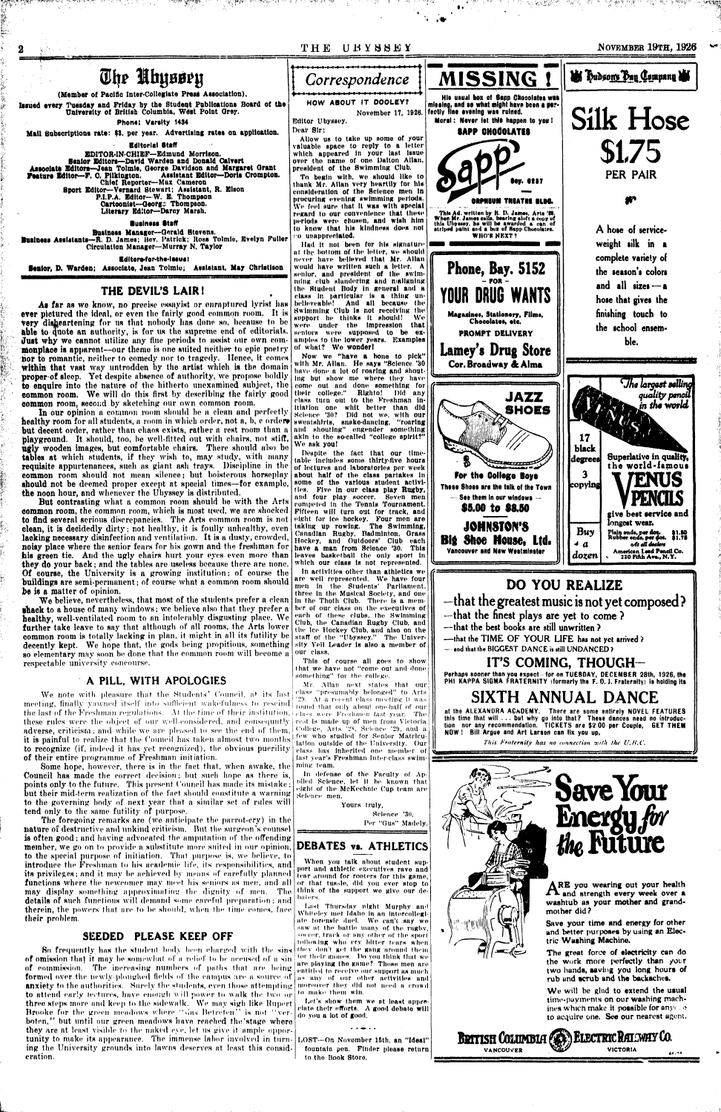

a shi kulla ta shekarar ta 1970.<br>Matukio

We note with pleasure that the Students' Council, at its last class "presumably belonged" to Arts meeting, finally yawned itself into sufficient wakefulness to rescind come that only about one-half of our the last of the Freshman regulations. At the time of their institution, delass were Freshmen last year. The these rules were the object of our well-considered, and consequntly rest is made up of men from Victoria adverse, criticism; and while we are pleased to see the end of them. it is painful to realize that the Council has taken almost two months to recognize (if, indeed it has yet recognized), the obvious puerility of their entire programme of Freshman initiation.

Some hope, however, there is in the fact that, when awake, the Council has made the correct decision; but such hope as there is, points only to the future. This present Council has made its mistake; but their mid-term realization of the fact should constitute a warning to the governing body of next year that a similar set of rules will tend only to the same futility of purpose.

The foregoing remarks are (we anticipate the parrot-ery) in the nature of destructive and unkind criticism. But the surgeon's counsel is often good; and having advocated the amputation of the offending **member**, we go on to provide a substitute more suited in our opinion, to the special purpose of initiation. That purpose is, we believe, to introduce the Freshman to his academic life, its responsibilities, and its privileges; and it may be achieved by means of carefully planned functions where the newcomer may meet his seniors as men, and all may display something approximating the dignity of men. The details of such functions will demand some careful preparation; and therein, the powers that are to be should, when the time comes, face their problem.

#### SEEDED PLEASE KEEP OFF

So frequently has the student body been charged with the sins of omission that it may be somewhat of a relief to be accused of a sin of commission. The increasing numbers of paths that are being formed over the newly-ploughed fields of the campus are a source of anxiety to the authorities. Surely the students, even those attempting to attend early fectures, have enough will power to walk the two or three steps more and keep to the sidewalk. We may sigh like Rupert Brooke for the green meadows where "this Betreten" is not "verboten," but until our green meadows have reached the stage where they are at least visible to the naked eye, let us give it ample opportunity to make its appearance. The immense labor involved in turning the University grounds into lawns deserves at least this consideration.

'29. At a recent class meeting it was College, Arts 28, Science 29, and a few who studied for Senior Matriculation outside of the University. Our class has inherited one member of last year's Freshman Inter-class swimming team.

In defense of the Faculty of Applied Science, let it be known that eight of the McKechnie Cup team are Science men.

Yours truly,

Science '30. Per "Gus" Madely.

### **DEBATES vs. ATHLETICS**

When you talk about student support and athletic executives rave and tear around for rooters for this game, or that tussle, did you ever stop to think of the support we give our debaters.

Last Thursday night Murphy and Whiteley met Idaho in an intercollegiate forensic duel. We can't say we saw at the battle many of the rugby. soccer, track or any other of the sport following who cry bitter tears when they don't get the gang around them for their games. Do you think that we are playing the game? Those men are entitled to receive our support as much as any of our other activities and moreover they did not need a crowd to make them win.

Let's show them we at least appreclate their efforts. A good debate will do you a lot of good.

LOST-On November 15th, an "Ideal" fountain pen. Finder please return to the Book Store.

## SIXTH ANNUAL DANCE

at the ALEXANDRA ACADEMY. There are some entirely NOVEL FEATURES this time that will ... but why go into that? These dances need no introduction nor any recommendation. TICKETS are \$200 per Couple, GET THEM NOW! Bill Argue and Art Larson can fix you up,

This Fraternity has no connection with the U.B.C.



ARE you wearing out your health<br>A and strength every week over a washtub as your mother and grand-

Save your time and energy for other and better purposes by using an Electric Washing Machine.

The great force of electricity can do the work more perfectly than your two hands, saving you long hours of rub and scrub and the backaches.

We will be glad to extend the usual time-payments on our washing machjnes which make it possible for any canto acquire one. See our nearest agent.